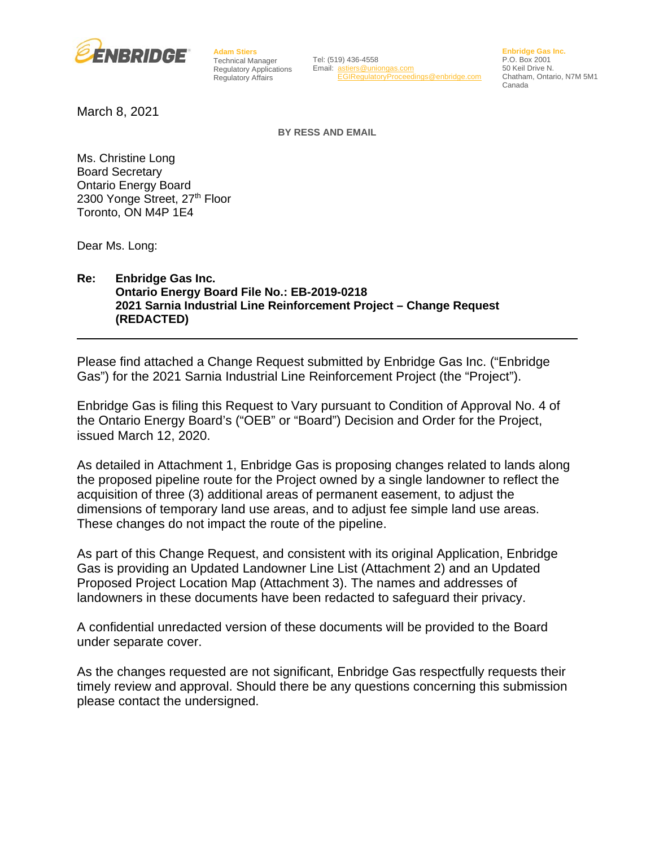

**Adam Stiers** Technical Manager Regulatory Applications Regulatory Affairs

Tel: (519) 436-4558 Email: [astiers@uniongas.com](mailto:astiers@uniongas.com) [EGIRegulatoryProceedings@enbridge.com](mailto:EGIRegulatoryProceedings@enbridge.com) **Enbridge Gas Inc.** P.O. Box 2001 50 Keil Drive N. Chatham, Ontario, N7M 5M1 Canada

March 8, 2021

**BY RESS AND EMAIL**

Ms. Christine Long Board Secretary Ontario Energy Board 2300 Yonge Street, 27<sup>th</sup> Floor Toronto, ON M4P 1E4

Dear Ms. Long:

#### **Re: Enbridge Gas Inc. Ontario Energy Board File No.: EB-2019-0218 2021 Sarnia Industrial Line Reinforcement Project – Change Request (REDACTED)**

Please find attached a Change Request submitted by Enbridge Gas Inc. ("Enbridge Gas") for the 2021 Sarnia Industrial Line Reinforcement Project (the "Project").

Enbridge Gas is filing this Request to Vary pursuant to Condition of Approval No. 4 of the Ontario Energy Board's ("OEB" or "Board") Decision and Order for the Project, issued March 12, 2020.

As detailed in Attachment 1, Enbridge Gas is proposing changes related to lands along the proposed pipeline route for the Project owned by a single landowner to reflect the acquisition of three (3) additional areas of permanent easement, to adjust the dimensions of temporary land use areas, and to adjust fee simple land use areas. These changes do not impact the route of the pipeline.

As part of this Change Request, and consistent with its original Application, Enbridge Gas is providing an Updated Landowner Line List (Attachment 2) and an Updated Proposed Project Location Map (Attachment 3). The names and addresses of landowners in these documents have been redacted to safeguard their privacy.

A confidential unredacted version of these documents will be provided to the Board under separate cover.

As the changes requested are not significant, Enbridge Gas respectfully requests their timely review and approval. Should there be any questions concerning this submission please contact the undersigned.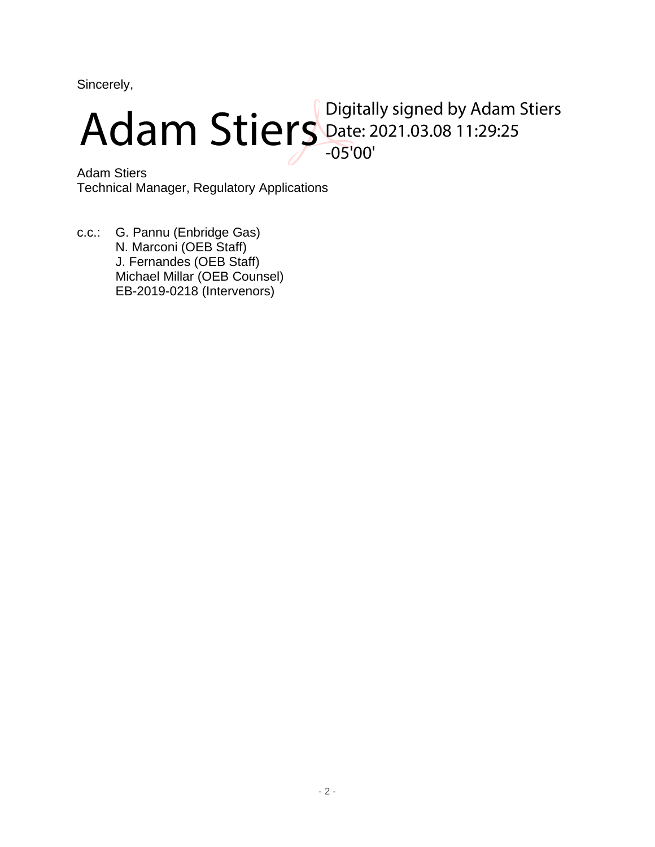Sincerely,



Adam Stiers Technical Manager, Regulatory Applications

c.c.: G. Pannu (Enbridge Gas) N. Marconi (OEB Staff) J. Fernandes (OEB Staff) Michael Millar (OEB Counsel) EB-2019-0218 (Intervenors)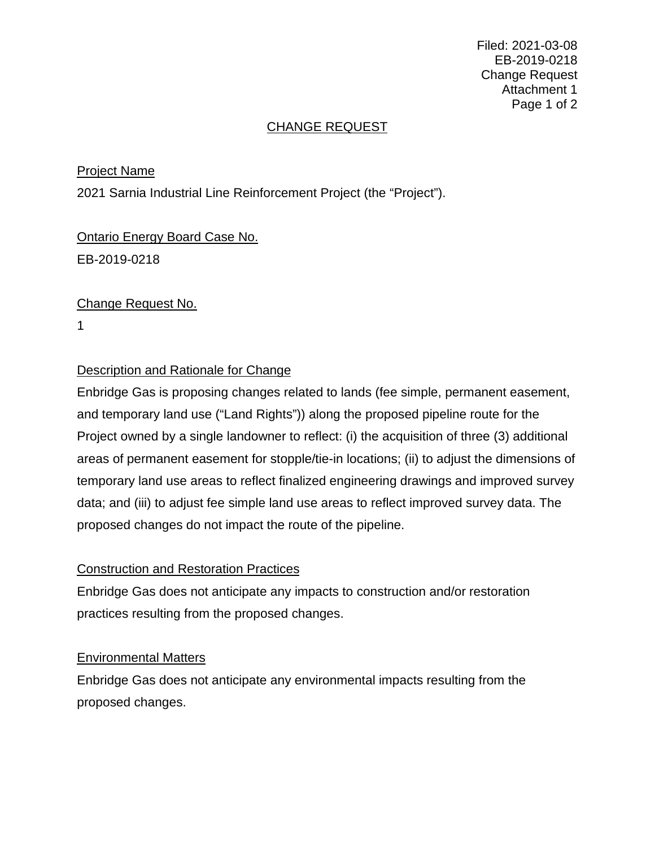Filed: 2021-03-08 EB-2019-0218 Change Request Attachment 1 Page 1 of 2

# CHANGE REQUEST

# Project Name

2021 Sarnia Industrial Line Reinforcement Project (the "Project").

# Ontario Energy Board Case No. EB-2019-0218

# Change Request No.

1

# Description and Rationale for Change

Enbridge Gas is proposing changes related to lands (fee simple, permanent easement, and temporary land use ("Land Rights")) along the proposed pipeline route for the Project owned by a single landowner to reflect: (i) the acquisition of three (3) additional areas of permanent easement for stopple/tie-in locations; (ii) to adjust the dimensions of temporary land use areas to reflect finalized engineering drawings and improved survey data; and (iii) to adjust fee simple land use areas to reflect improved survey data. The proposed changes do not impact the route of the pipeline.

#### Construction and Restoration Practices

Enbridge Gas does not anticipate any impacts to construction and/or restoration practices resulting from the proposed changes.

#### Environmental Matters

Enbridge Gas does not anticipate any environmental impacts resulting from the proposed changes.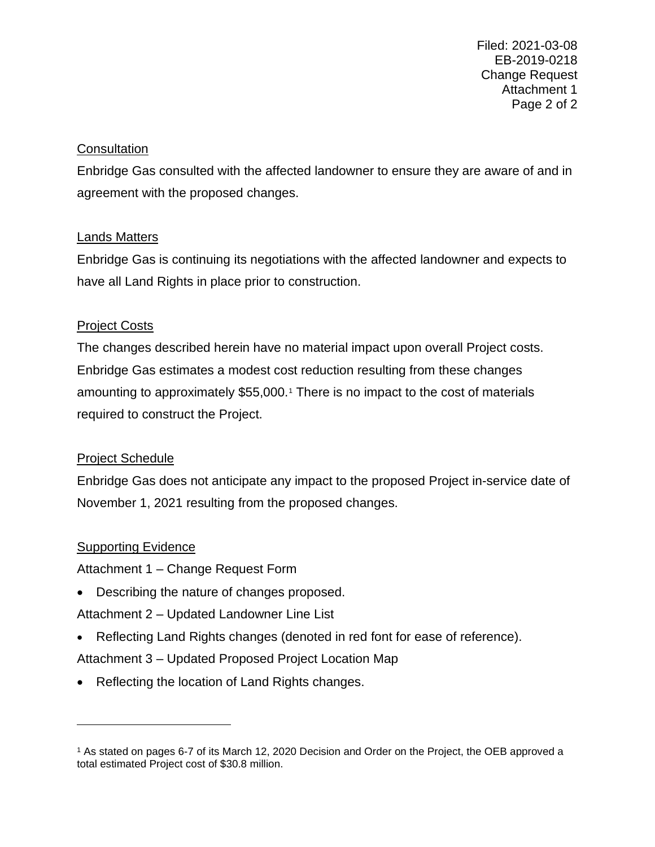Filed: 2021-03-08 EB-2019-0218 Change Request Attachment 1 Page 2 of 2

#### **Consultation**

Enbridge Gas consulted with the affected landowner to ensure they are aware of and in agreement with the proposed changes.

#### Lands Matters

Enbridge Gas is continuing its negotiations with the affected landowner and expects to have all Land Rights in place prior to construction.

#### Project Costs

The changes described herein have no material impact upon overall Project costs. Enbridge Gas estimates a modest cost reduction resulting from these changes amounting to approximately \$55,000.[1](#page-3-0) There is no impact to the cost of materials required to construct the Project.

# Project Schedule

Enbridge Gas does not anticipate any impact to the proposed Project in-service date of November 1, 2021 resulting from the proposed changes.

# **Supporting Evidence**

Attachment 1 – Change Request Form

• Describing the nature of changes proposed.

Attachment 2 – Updated Landowner Line List

• Reflecting Land Rights changes (denoted in red font for ease of reference).

Attachment 3 – Updated Proposed Project Location Map

• Reflecting the location of Land Rights changes.

<span id="page-3-0"></span><sup>1</sup> As stated on pages 6-7 of its March 12, 2020 Decision and Order on the Project, the OEB approved a total estimated Project cost of \$30.8 million.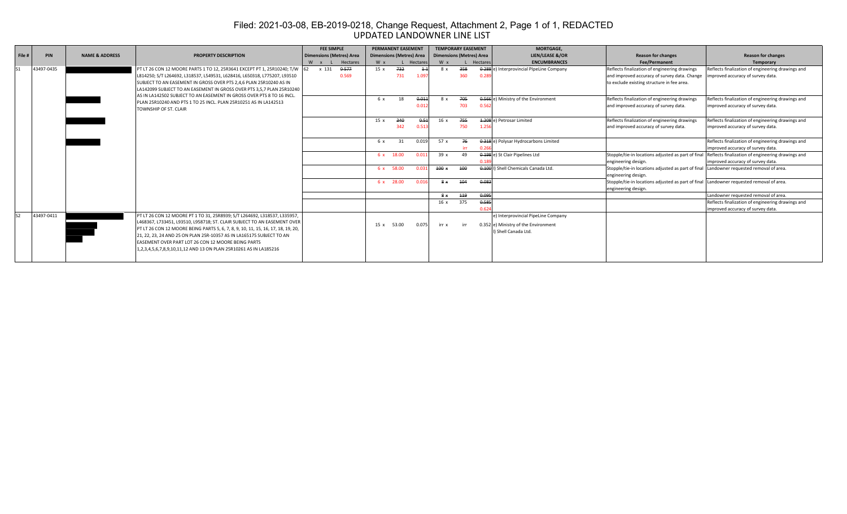#### UPDATED LANDOWNER LINE LIST Filed: 2021-03-08, EB-2019-0218, Change Request, Attachment 2, Page 1 of 1, REDACTED

|        |            |                                                                  |                                                                                  | <b>FEE SIMPLE</b>               |          |            | <b>PERMANENT EASEMENT</b>                          |       | <b>TEMPORARY EASEMENT</b>       |     |       | MORTGAGE.                                 |                                                                                         |                                                   |
|--------|------------|------------------------------------------------------------------|----------------------------------------------------------------------------------|---------------------------------|----------|------------|----------------------------------------------------|-------|---------------------------------|-----|-------|-------------------------------------------|-----------------------------------------------------------------------------------------|---------------------------------------------------|
| File # | <b>PIN</b> | <b>NAME &amp; ADDRESS</b>                                        | <b>PROPERTY DESCRIPTION</b>                                                      | <b>Dimensions (Metres) Area</b> |          |            | <b>Dimensions (Metres) Area</b><br>W x<br>Hectares |       | <b>Dimensions (Metres) Area</b> |     |       | <b>LIEN/LEASE &amp;/OR</b>                | <b>Reason for changes</b>                                                               | <b>Reason for changes</b>                         |
|        |            |                                                                  |                                                                                  | W x L                           | Hectares |            |                                                    |       | W x<br>Hectares                 |     |       | <b>ENCUMBRANCES</b>                       | Fee/Permanent                                                                           | Temporary                                         |
|        | 43497-0435 |                                                                  | PT LT 26 CON 12 MOORE PARTS 1 TO 12, 25R3641 EXCEPT PT 1, 25R10240; T/W 62       | x 131                           | 0-577    | 15x        | 732                                                |       | 8 x                             | 358 |       | 0-288 e) Interprovincial PIpeLine Company | Reflects finalization of engineering drawings                                           | Reflects finalization of engineering drawings and |
|        |            |                                                                  | L814250; S/T L264692, L318537, L549531, L628416, L650318, L775207, L93510        |                                 | 0.569    |            | 731                                                | 1.09  |                                 | 360 | 0.28  |                                           | and improved accuracy of survey data. Change                                            | improved accuracy of survey data.                 |
|        |            |                                                                  | SUBJECT TO AN EASEMENT IN GROSS OVER PTS 2,4,6 PLAN 25R10240 AS IN               |                                 |          |            |                                                    |       |                                 |     |       |                                           | to exclude existing structure in fee area.                                              |                                                   |
|        |            |                                                                  | LA142099 SUBJECT TO AN EASEMENT IN GROSS OVER PTS 3,5,7 PLAN 25R10240            |                                 |          |            |                                                    |       |                                 |     |       |                                           |                                                                                         |                                                   |
|        |            |                                                                  | AS IN LA142502 SUBJECT TO AN EASEMENT IN GROSS OVER PTS 8 TO 16 INCL.            |                                 |          | 6 x        | 18                                                 | 0.011 |                                 | 705 |       | 0.566 e) Ministry of the Environment      | Reflects finalization of engineering drawings                                           | Reflects finalization of engineering drawings and |
|        |            | PLAN 25R10240 AND PTS 1 TO 25 INCL. PLAN 25R10251 AS IN LA142513 |                                                                                  |                                 |          |            |                                                    | 0.01  |                                 | 703 | 0.56  |                                           | and improved accuracy of survey data.                                                   | improved accuracy of survey data.                 |
|        |            |                                                                  | TOWNSHIP OF ST. CLAIR                                                            |                                 |          |            |                                                    |       |                                 |     |       |                                           |                                                                                         |                                                   |
|        |            |                                                                  |                                                                                  |                                 |          | 15x        | 340                                                | 0.51  | 16x                             | 755 |       | 4.208 e) Petrosar Limited                 | Reflects finalization of engineering drawings                                           | Reflects finalization of engineering drawings and |
|        |            |                                                                  |                                                                                  |                                 |          |            | 342                                                | 0.51  |                                 | 750 | 1.25  |                                           | and improved accuracy of survey data.                                                   | improved accuracy of survey data.                 |
|        |            |                                                                  |                                                                                  |                                 |          |            |                                                    |       |                                 |     |       |                                           |                                                                                         |                                                   |
|        |            |                                                                  |                                                                                  |                                 |          | 6 x        | 31                                                 | 0.019 | 57 x                            | 76  |       | 0 318 e) Polysar Hydrocarbons Limited     |                                                                                         | Reflects finalization of engineering drawings and |
|        |            |                                                                  |                                                                                  |                                 |          |            |                                                    |       |                                 | irr |       |                                           |                                                                                         | improved accuracy of survey data.                 |
|        |            |                                                                  |                                                                                  |                                 |          | 6 x 18.00  |                                                    | 0.01  | 39x                             | 49  |       | 0 198 e) St Clair Pipelines Ltd           | Stopple/tie-in locations adjusted as part of final                                      | Reflects finalization of engineering drawings and |
|        |            |                                                                  |                                                                                  |                                 |          |            |                                                    |       |                                 |     |       |                                           | engineering design.                                                                     | improved accuracy of survey data.                 |
|        |            |                                                                  |                                                                                  |                                 |          | 6 x 58.00  |                                                    | 0.03  | 100x                            | 100 |       | 0.100   Shell Chemicals Canada Ltd.       | Stopple/tie-in locations adjusted as part of final Landowner requested removal of area. |                                                   |
|        |            |                                                                  |                                                                                  |                                 |          |            |                                                    |       |                                 |     |       |                                           | engineering design.                                                                     |                                                   |
|        |            |                                                                  |                                                                                  |                                 |          | 6 x 28.00  |                                                    | 0.01  | $8*$                            | 104 | 0.083 |                                           | Stopple/tie-in locations adjusted as part of final Landowner requested removal of area. |                                                   |
|        |            |                                                                  |                                                                                  |                                 |          |            |                                                    |       |                                 |     |       |                                           | engineering design.                                                                     |                                                   |
|        |            |                                                                  |                                                                                  |                                 |          |            |                                                    |       | $8 \times 119$                  |     | 0.095 |                                           |                                                                                         | Landowner requested removal of area.              |
|        |            |                                                                  |                                                                                  |                                 |          |            |                                                    |       | 16x                             | 375 | 0.585 |                                           |                                                                                         | Reflects finalization of engineering drawings and |
|        |            |                                                                  |                                                                                  |                                 |          |            |                                                    |       |                                 |     | 0.62  |                                           |                                                                                         | improved accuracy of survey data.                 |
|        | 43497-0411 |                                                                  | PT LT 26 CON 12 MOORE PT 1 TO 31, 25R8939; S/T L264692, L318537, L335957,        |                                 |          |            |                                                    |       |                                 |     |       | e) Interprovincial PipeLine Company       |                                                                                         |                                                   |
|        |            |                                                                  | L468367, L733451, L93510, L958718; ST. CLAIR SUBJECT TO AN EASEMENT OVER         |                                 |          | 15 x 53.00 |                                                    | 0.075 | irr x                           | irr |       | 0.352 e) Ministry of the Environment      |                                                                                         |                                                   |
|        |            |                                                                  | PT LT 26 CON 12 MOORE BEING PARTS 5, 6, 7, 8, 9, 10, 11, 15, 16, 17, 18, 19, 20, |                                 |          |            |                                                    |       |                                 |     |       | I) Shell Canada Ltd.                      |                                                                                         |                                                   |
|        |            |                                                                  | 21, 22, 23, 24 AND 25 ON PLAN 25R-10357 AS IN LA165175 SUBJECT TO AN             |                                 |          |            |                                                    |       |                                 |     |       |                                           |                                                                                         |                                                   |
|        |            |                                                                  | EASEMENT OVER PART LOT 26 CON 12 MOORE BEING PARTS                               |                                 |          |            |                                                    |       |                                 |     |       |                                           |                                                                                         |                                                   |
|        |            |                                                                  | 1,2,3,4,5,6,7,8,9,10,11,12 AND 13 ON PLAN 25R10261 AS IN LA185216                |                                 |          |            |                                                    |       |                                 |     |       |                                           |                                                                                         |                                                   |
|        |            |                                                                  |                                                                                  |                                 |          |            |                                                    |       |                                 |     |       |                                           |                                                                                         |                                                   |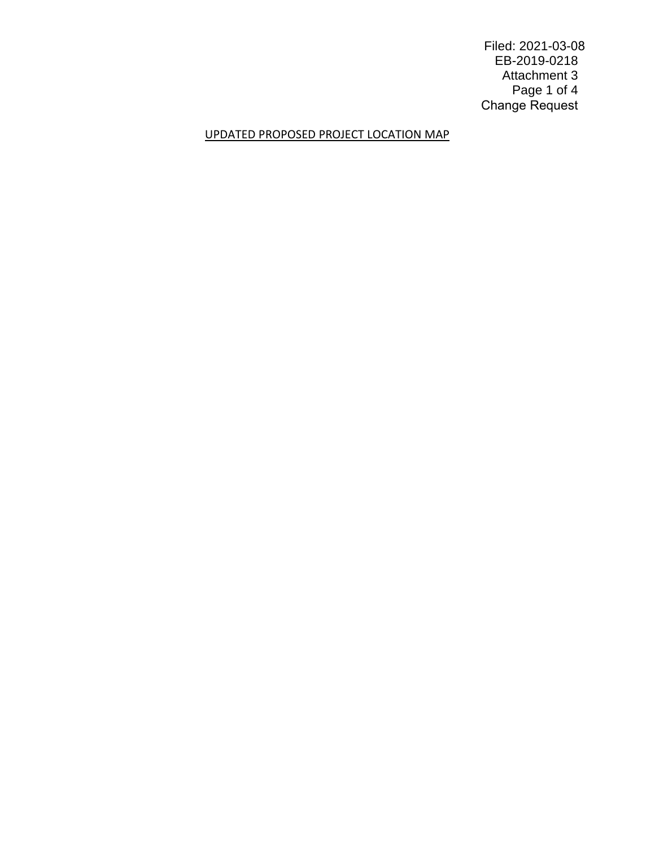Filed: 2021-03-08 EB-2019-0218 Attachment 3 Page 1 of 4 Change Request

#### UPDATED PROPOSED PROJECT LOCATION MAP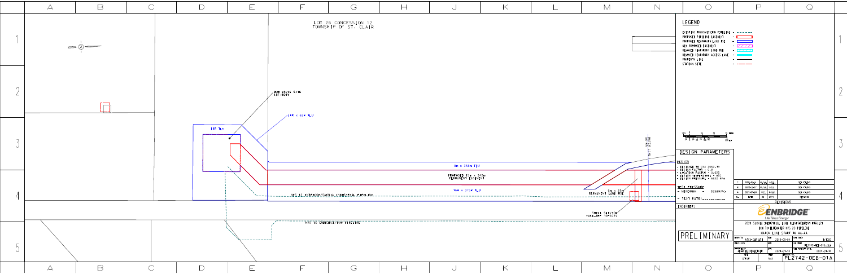

|--|

LOT 26 CONCESSION 12<br>TOWNSHIP OF ST. CLAIR

 $\bigodot$ 

 $\mathbb H$ 

|                                        | 8m x 358m TLU                             |                              |
|----------------------------------------|-------------------------------------------|------------------------------|
|                                        | PROPOSED 15m x 342m<br>PERMANENT EASEMENT |                              |
| <u>IDGE/SARNIA INDUSTRIAL PIPELINE</u> | 16m x 375m TLU                            | 6m x 31<br>PERMANENT LAND US |
|                                        |                                           | SHELL SERVICE                |
| 10 ENBRIDGE700W PIPELINE               |                                           |                              |
|                                        |                                           |                              |
|                                        |                                           |                              |
|                                        |                                           |                              |

 $\bigcup$ 

 $\mathsf{K}% _{0}$ 

 $M$ 

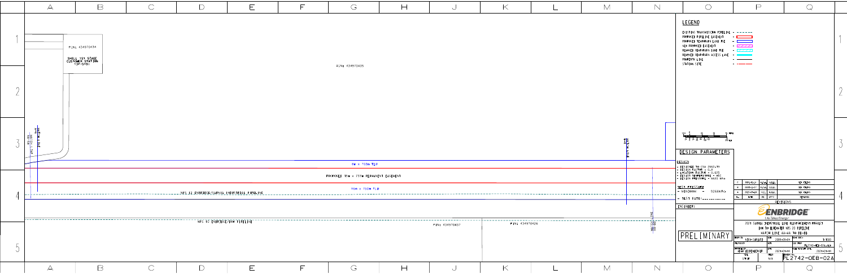|                      | $\overline{\mathcal{A}}$                                                    | $\Box$                                                            | $\bigcap$  |                                                                                                  | $\overline{\mathsf{E}}$ | F |
|----------------------|-----------------------------------------------------------------------------|-------------------------------------------------------------------|------------|--------------------------------------------------------------------------------------------------|-------------------------|---|
| $\overline{\Lambda}$ |                                                                             | PIN: 434970434<br>SHELL 1ST STAGE<br>CUSTOMER STATION<br>13F-5191 |            |                                                                                                  |                         |   |
| $\cap$<br>$\perp$    |                                                                             |                                                                   |            |                                                                                                  |                         |   |
| $\mathcal{J}$        | $\frac{M\textrm{ATCH}\ \textrm{LINE}}{\textrm{A-A}}$<br>MATCH LINE<br>AA-AA |                                                                   |            |                                                                                                  |                         |   |
| $\overline{4}$       |                                                                             |                                                                   |            | <u>. NPS 12 ENBRIDGE/SARNIA INDUSTRIAL PIPELINE</u><br>$\overline{NPS}$ to enbridge/dow pipeline |                         |   |
| $\bigcirc$           |                                                                             |                                                                   |            |                                                                                                  |                         |   |
|                      | $\forall$                                                                   | $\Box$                                                            | $\bigcirc$ |                                                                                                  | F                       |   |

| $\bigodot$<br>$\mathord{\,\boxplus\,}$                   | $\cup$         | $ \!\!\!<$              | $\mathsf{M}$       | $\sum$      | $\bigcap$                                                                                                                                                                                                                                                                | $\Box$<br>$\mathbb{Q}$                                                                                                                                                                                                                                                                                                                                                                                                                                                                                                                                                                                                                                                                                                                                                                                                                                                                                                                                                                                                                 |                                       |
|----------------------------------------------------------|----------------|-------------------------|--------------------|-------------|--------------------------------------------------------------------------------------------------------------------------------------------------------------------------------------------------------------------------------------------------------------------------|----------------------------------------------------------------------------------------------------------------------------------------------------------------------------------------------------------------------------------------------------------------------------------------------------------------------------------------------------------------------------------------------------------------------------------------------------------------------------------------------------------------------------------------------------------------------------------------------------------------------------------------------------------------------------------------------------------------------------------------------------------------------------------------------------------------------------------------------------------------------------------------------------------------------------------------------------------------------------------------------------------------------------------------|---------------------------------------|
| PIN: 434970435                                           |                |                         |                    |             | <b>LEGEND</b><br>EXISTING TRANSMISSION PIPELINE - ------<br>PROPOSED PIPELINE EASEMENT<br>PROPOSED TEMPORARY LAND USE - LAND<br>NEW PROPOSED EASEMENT<br>REMOVED TEMPORARY LAND USE<br>REMOVED TEMPORARY ACCESS LANE - <b>INCLUSION</b><br>PROPERTY LINE<br>STATION SITE | $\overline{\phantom{a}}$ . The contract of $\overline{\phantom{a}}$<br>$-7777$<br>$ \sqrt{777}$<br>$\begin{tabular}{ll} \multicolumn{2}{c} {\textbf{1}} & \multicolumn{2}{c} {\textbf{2}} & \multicolumn{2}{c} {\textbf{3}} & \multicolumn{2}{c} {\textbf{4}} \\ \multicolumn{2}{c} {\textbf{2}} & \multicolumn{2}{c} {\textbf{4}} & \multicolumn{2}{c} {\textbf{5}} & \multicolumn{2}{c} {\textbf{6}} \\ \multicolumn{2}{c} {\textbf{5}} & \multicolumn{2}{c} {\textbf{6}} & \multicolumn{2}{c} {\textbf{6}} & \multicolumn{2}{c} {\textbf{6}} \\ \multicolumn{2}{c} {\textbf{6}} & \multicolumn$<br>$\label{eq:3} \begin{array}{lllllllllllllll} \hline \textbf{1} & \textbf{1} & \textbf{1} & \textbf{1} & \textbf{1} & \textbf{1} & \textbf{1} & \textbf{1} & \textbf{1} & \textbf{1} & \textbf{1} & \textbf{1} & \textbf{1} & \textbf{1} & \textbf{1} & \textbf{1} & \textbf{1} & \textbf{1} & \textbf{1} & \textbf{1} & \textbf{1} & \textbf{1} & \textbf{1} & \textbf{1} & \textbf{1} & \textbf{1} & \textbf{1} & \textbf{1} &$ |                                       |
|                                                          |                |                         |                    |             |                                                                                                                                                                                                                                                                          |                                                                                                                                                                                                                                                                                                                                                                                                                                                                                                                                                                                                                                                                                                                                                                                                                                                                                                                                                                                                                                        | $\cap$                                |
| 8m x 703m TLU                                            |                |                         | $\frac{MATC}{B-B}$ |             | 75 METRES<br>25 $\frac{1}{0}$ 25 $\frac{1}{50}$ 75 $\frac{1}{100}$ 125<br>250 FEET<br>DESIGN PARAMETERS<br>DESIGN                                                                                                                                                        |                                                                                                                                                                                                                                                                                                                                                                                                                                                                                                                                                                                                                                                                                                                                                                                                                                                                                                                                                                                                                                        | $\overline{\phantom{0}}$<br>$\bigcup$ |
| PROPOSED 15m x 733m PERMANENT EASEMENT<br>16m x 750m TLU |                |                         |                    | --------    | - DESIGNED TO CSA Z662-19<br>- DESIGN FACTOR - 0.8<br>- LOCATION FACTOR - 0.625<br>- DESIGN TEMPERATURE - M5C<br>- DESIGN TEMPERATURE - M5C<br>- DESIGN PRESSURE - 6620 kPa<br>TEST PRESSURE<br>- MINIMUM - 9268kPa<br>- TEST DATE: ____________<br>ENGINEER:            | $M.J.W.$ A.D.L.<br>OEB FILING<br>2021-01-14<br>OEB FILING<br>2020-11-27<br>$M.J.W.$ A.D.L.<br>2019-09-10<br>OEB FILING<br>$N.C.$ B.N.W.<br>$\Delta$<br>BY APP'D<br>DATE<br>REMARKS<br>No.<br>REVISIONS<br><b><i>PENBRIDGE</i></b><br>Life Takes Energy®                                                                                                                                                                                                                                                                                                                                                                                                                                                                                                                                                                                                                                                                                                                                                                                | $\frac{4}{1}$                         |
| $\bigcirc$<br>$\Box$                                     | PIN: 434970437 | PIN: 434970426<br>$\lt$ | $\mathcal M$       | $\mathbb N$ | PREL IMINARY                                                                                                                                                                                                                                                             | 2021 SARNIA INDUSTRIAL LINE REINFORCEMENT PROJECT<br>DOW TO BLUEWATER NPS 20 PIPELINE<br>MATCH LINE AA-AA TO BB-BB<br>PLOT SPEC:<br>DATE <br>NICO CARIATI<br>2019-09-04<br>1:1000<br>CHECKED BY<br>DATE<br>CAD CODE:<br>PL2742-0EB-02A.dgn<br>FILE REVISION DATE<br>DATE<br>APPROVED BY<br>ADAM LEITENBERGER<br>$2021 - 01 - 14$<br>$2021 - 01 - 14$<br>SHEET<br>PL2742-0EB-02A<br>SIZE<br>N/A<br>STRIP<br>$\Box$                                                                                                                                                                                                                                                                                                                                                                                                                                                                                                                                                                                                                      | ◡                                     |
|                                                          | $\cup$         |                         |                    |             |                                                                                                                                                                                                                                                                          |                                                                                                                                                                                                                                                                                                                                                                                                                                                                                                                                                                                                                                                                                                                                                                                                                                                                                                                                                                                                                                        |                                       |

| $\curvearrowright$<br>∪                                  | $\Box$ | └              | $ \!\!\prec\!$      | $\mathbb M$        | $\mathbb N$ | $\bigcap$                                                                                                                                                                                                                                            | $\Box$                                                                                                                                                                                                                                                                                                                                                                                                                                                                                                                    |                                                                                                                                                                                                                                                |                                       |
|----------------------------------------------------------|--------|----------------|---------------------|--------------------|-------------|------------------------------------------------------------------------------------------------------------------------------------------------------------------------------------------------------------------------------------------------------|---------------------------------------------------------------------------------------------------------------------------------------------------------------------------------------------------------------------------------------------------------------------------------------------------------------------------------------------------------------------------------------------------------------------------------------------------------------------------------------------------------------------------|------------------------------------------------------------------------------------------------------------------------------------------------------------------------------------------------------------------------------------------------|---------------------------------------|
| PIN: 434970435                                           |        |                |                     |                    |             | LEGEND<br>EXISTING TRANSMISSION PIPELINE - -----<br>PROPOSED PIPELINE EASEMENT<br>PROPOSED TEMPORARY LAND USE - CONTINUES<br>NEW PROPOSED EASEMENT<br>REMOVED TEMPORARY LAND USE<br>REMOVED TEMPORARY ACCESS LANE -<br>PROPERTY LINE<br>STATION SITE | $-7777$<br>$ \sqrt{111}$<br>$\label{eq:3} \begin{array}{lll} \mathcal{L}_{\mathcal{P}}(\mathcal{P})=\mathcal{L}_{\mathcal{P}}(\mathcal{P})=\mathcal{L}_{\mathcal{P}}(\mathcal{P})=\mathcal{L}_{\mathcal{P}}(\mathcal{P})=\mathcal{L}_{\mathcal{P}}(\mathcal{P})=\mathcal{L}_{\mathcal{P}}(\mathcal{P})=\mathcal{L}_{\mathcal{P}}(\mathcal{P})=\mathcal{L}_{\mathcal{P}}(\mathcal{P})=\mathcal{L}_{\mathcal{P}}(\mathcal{P})=\mathcal{L}_{\mathcal{P}}(\mathcal{P})=\mathcal{L}_{\mathcal{P}}(\mathcal{P})=\mathcal{L}_{\$ |                                                                                                                                                                                                                                                |                                       |
|                                                          |        |                |                     |                    |             |                                                                                                                                                                                                                                                      |                                                                                                                                                                                                                                                                                                                                                                                                                                                                                                                           |                                                                                                                                                                                                                                                | $\cap$                                |
| 8m x 703m TLU                                            |        |                |                     | $\frac{MATC}{B-B}$ |             | 75 METRES<br>$25\frac{1}{0}$ $25\frac{1}{50}$ $75\frac{1}{100}$ 125<br>250 FEET<br>DESIGN PARAMETERS<br>DESIGN<br>- DESIGNED TO CSA Z662-19                                                                                                          |                                                                                                                                                                                                                                                                                                                                                                                                                                                                                                                           |                                                                                                                                                                                                                                                | $\overline{\phantom{0}}$<br>$\bigcup$ |
| PROPOSED 15m x 733m PERMANENT EASEMENT<br>16m x 750m TLU |        |                |                     |                    |             | - DESIGN FACTOR - 0.8<br>- LOCATION FACTOR - 0.625<br>- DESIGN TEMPERATURE - M5C<br>- DESIGN PRESSURE - 6620 KPa<br>TEST PRESSURE<br>$-$ MINIMUM $-$<br>9268kPa<br>- TEST DATE: ____________<br>ENGINEER:                                            | 2021-01-14 M.J.W. A.D.L.<br>$\mathsf{C}$<br>2020-11-27<br>$M.J.W.$ A.D.L.<br>$\overline{B}$<br>2019-09-10<br>$N.C.$ B.N.W.<br>$\Delta$<br>BY APP'D<br>DATE<br>No.<br>Life Takes Energy®                                                                                                                                                                                                                                                                                                                                   | OEB FILING<br>OEB FILING<br>OEB FILING<br>REMARKS<br>REVISIONS<br><b>ZÉNBRIDGE®</b>                                                                                                                                                            | $\frac{1}{\sqrt{2}}$                  |
|                                                          |        | PIN: 434970437 | PIN: 434970426      |                    |             | IPREL IMINARY BEAWN BY                                                                                                                                                                                                                               | DATE<br>NICO CARIATI<br>2019-09-04<br>CHECKED BY<br><b>IDATE</b><br>APPROVED BY<br>ADAM LEITENBERGER<br>DATE<br>$2021 - 01 - 14$<br>SHEET<br>SIZE<br>N/A<br>STRIP                                                                                                                                                                                                                                                                                                                                                         | 2021 SARNIA INDUSTRIAL LINE REINFORCEMENT PROJECT<br>DOW TO BLUEWATER NPS 20 PIPELINE<br>MATCH LINE AA-AA TO BB-BB<br>PLOT SPEC:<br>1:1000<br>CAD CODE:<br>.<br>PL2742-OEB-02A.dgn<br>FILE REVISION DATE<br>$2021 - 01 - 14$<br>PL2742-0EB-02A | ◡                                     |
| $\bigodot$                                               | $\Box$ | ◡              | $\overline{\times}$ | M                  | $\mathbb N$ | $\bigcap$                                                                                                                                                                                                                                            | $\Box$                                                                                                                                                                                                                                                                                                                                                                                                                                                                                                                    |                                                                                                                                                                                                                                                |                                       |